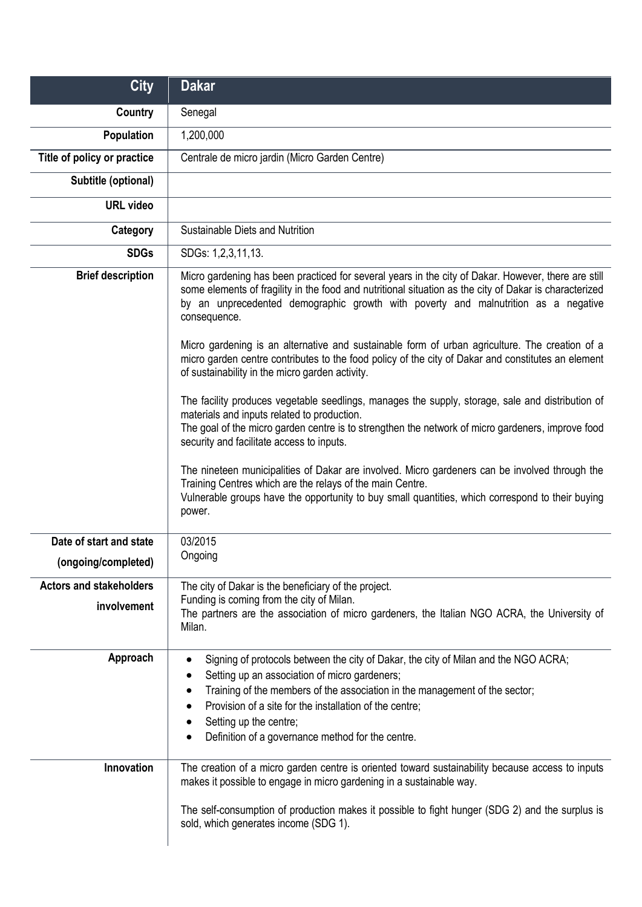| <b>City</b>                                   | <b>Dakar</b>                                                                                                                                                                                                                                                                                                                                                                                                                                                                                                                |
|-----------------------------------------------|-----------------------------------------------------------------------------------------------------------------------------------------------------------------------------------------------------------------------------------------------------------------------------------------------------------------------------------------------------------------------------------------------------------------------------------------------------------------------------------------------------------------------------|
| Country                                       | Senegal                                                                                                                                                                                                                                                                                                                                                                                                                                                                                                                     |
| Population                                    | 1,200,000                                                                                                                                                                                                                                                                                                                                                                                                                                                                                                                   |
| Title of policy or practice                   | Centrale de micro jardin (Micro Garden Centre)                                                                                                                                                                                                                                                                                                                                                                                                                                                                              |
| Subtitle (optional)                           |                                                                                                                                                                                                                                                                                                                                                                                                                                                                                                                             |
| <b>URL</b> video                              |                                                                                                                                                                                                                                                                                                                                                                                                                                                                                                                             |
| Category                                      | Sustainable Diets and Nutrition                                                                                                                                                                                                                                                                                                                                                                                                                                                                                             |
| <b>SDGs</b>                                   | SDGs: 1,2,3,11,13.                                                                                                                                                                                                                                                                                                                                                                                                                                                                                                          |
| <b>Brief description</b>                      | Micro gardening has been practiced for several years in the city of Dakar. However, there are still<br>some elements of fragility in the food and nutritional situation as the city of Dakar is characterized<br>by an unprecedented demographic growth with poverty and malnutrition as a negative<br>consequence.<br>Micro gardening is an alternative and sustainable form of urban agriculture. The creation of a<br>micro garden centre contributes to the food policy of the city of Dakar and constitutes an element |
|                                               | of sustainability in the micro garden activity.<br>The facility produces vegetable seedlings, manages the supply, storage, sale and distribution of<br>materials and inputs related to production.<br>The goal of the micro garden centre is to strengthen the network of micro gardeners, improve food<br>security and facilitate access to inputs.<br>The nineteen municipalities of Dakar are involved. Micro gardeners can be involved through the                                                                      |
|                                               | Training Centres which are the relays of the main Centre.<br>Vulnerable groups have the opportunity to buy small quantities, which correspond to their buying<br>power.                                                                                                                                                                                                                                                                                                                                                     |
| Date of start and state                       | 03/2015                                                                                                                                                                                                                                                                                                                                                                                                                                                                                                                     |
| (ongoing/completed)                           | Ongoing                                                                                                                                                                                                                                                                                                                                                                                                                                                                                                                     |
| <b>Actors and stakeholders</b><br>involvement | The city of Dakar is the beneficiary of the project.<br>Funding is coming from the city of Milan.<br>The partners are the association of micro gardeners, the Italian NGO ACRA, the University of<br>Milan.                                                                                                                                                                                                                                                                                                                 |
| Approach                                      | Signing of protocols between the city of Dakar, the city of Milan and the NGO ACRA;<br>$\bullet$<br>Setting up an association of micro gardeners;<br>Training of the members of the association in the management of the sector;<br>Provision of a site for the installation of the centre;<br>Setting up the centre;<br>Definition of a governance method for the centre.                                                                                                                                                  |
| Innovation                                    | The creation of a micro garden centre is oriented toward sustainability because access to inputs<br>makes it possible to engage in micro gardening in a sustainable way.<br>The self-consumption of production makes it possible to fight hunger (SDG 2) and the surplus is<br>sold, which generates income (SDG 1).                                                                                                                                                                                                        |